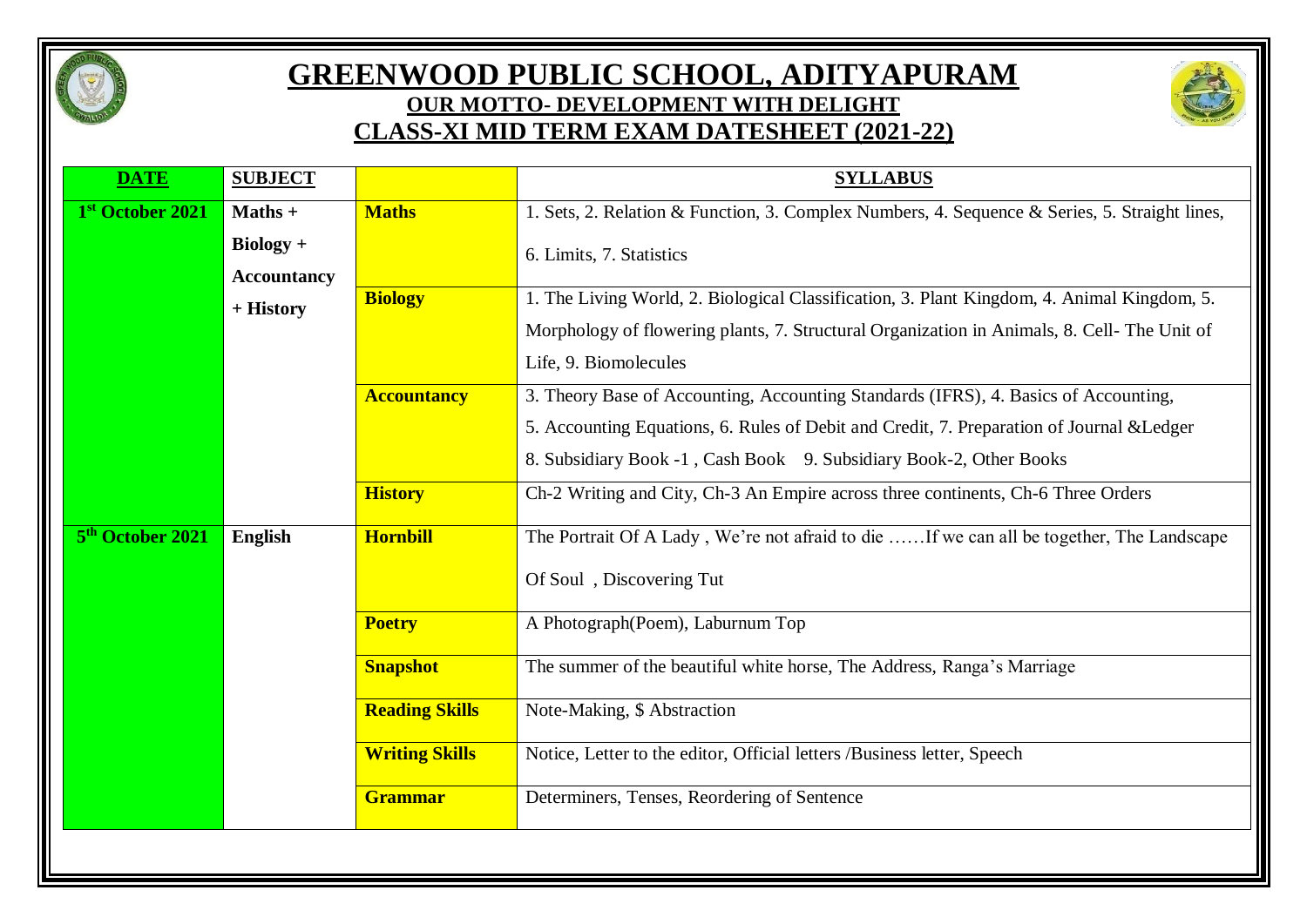

## **GREENWOOD PUBLIC SCHOOL, ADITYAPURAM OUR MOTTO- DEVELOPMENT WITH DELIGHT CLASS-XI MID TERM EXAM DATESHEET (2021-22)**



| <b>DATE</b>                  | <b>SUBJECT</b>                    |                       | <b>SYLLABUS</b>                                                                               |
|------------------------------|-----------------------------------|-----------------------|-----------------------------------------------------------------------------------------------|
| 1st October 2021             | $Maths +$                         | <b>Maths</b>          | 1. Sets, 2. Relation & Function, 3. Complex Numbers, 4. Sequence & Series, 5. Straight lines, |
|                              | $Biology +$<br><b>Accountancy</b> |                       | 6. Limits, 7. Statistics                                                                      |
|                              | + History                         | <b>Biology</b>        | 1. The Living World, 2. Biological Classification, 3. Plant Kingdom, 4. Animal Kingdom, 5.    |
|                              |                                   |                       | Morphology of flowering plants, 7. Structural Organization in Animals, 8. Cell- The Unit of   |
|                              |                                   |                       | Life, 9. Biomolecules                                                                         |
|                              |                                   | <b>Accountancy</b>    | 3. Theory Base of Accounting, Accounting Standards (IFRS), 4. Basics of Accounting,           |
|                              |                                   |                       | 5. Accounting Equations, 6. Rules of Debit and Credit, 7. Preparation of Journal & Ledger     |
|                              |                                   |                       | 8. Subsidiary Book -1, Cash Book 9. Subsidiary Book-2, Other Books                            |
|                              |                                   | <b>History</b>        | Ch-2 Writing and City, Ch-3 An Empire across three continents, Ch-6 Three Orders              |
| 5 <sup>th</sup> October 2021 | English                           | <b>Hornbill</b>       | The Portrait Of A Lady, We're not afraid to die  If we can all be together, The Landscape     |
|                              |                                   |                       | Of Soul, Discovering Tut                                                                      |
|                              |                                   | <b>Poetry</b>         | A Photograph (Poem), Laburnum Top                                                             |
|                              |                                   | <b>Snapshot</b>       | The summer of the beautiful white horse, The Address, Ranga's Marriage                        |
|                              |                                   | <b>Reading Skills</b> | Note-Making, \$ Abstraction                                                                   |
|                              |                                   | <b>Writing Skills</b> | Notice, Letter to the editor, Official letters /Business letter, Speech                       |
|                              |                                   | Grammar               | Determiners, Tenses, Reordering of Sentence                                                   |
|                              |                                   |                       |                                                                                               |